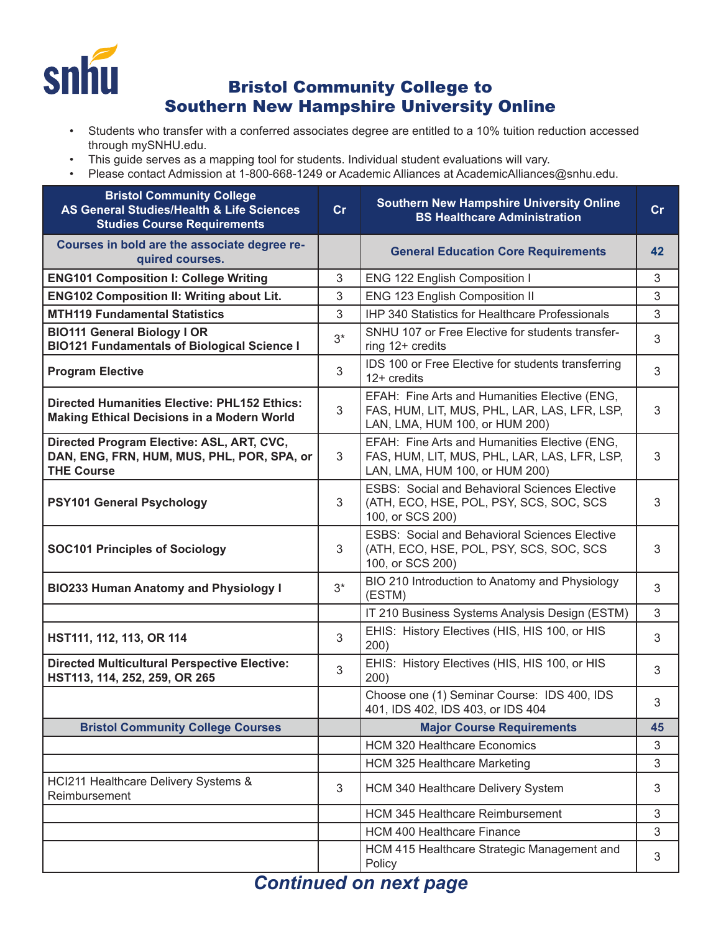

## Bristol Community College to Southern New Hampshire University Online

- Students who transfer with a conferred associates degree are entitled to a 10% tuition reduction accessed through mySNHU.edu.
- This guide serves as a mapping tool for students. Individual student evaluations will vary.
- Please contact Admission at 1-800-668-1249 or Academic Alliances at AcademicAlliances@snhu.edu.

| <b>Bristol Community College</b><br>AS General Studies/Health & Life Sciences<br><b>Studies Course Requirements</b> | cr    | <b>Southern New Hampshire University Online</b><br><b>BS Healthcare Administration</b>                                          | cr         |
|---------------------------------------------------------------------------------------------------------------------|-------|---------------------------------------------------------------------------------------------------------------------------------|------------|
| Courses in bold are the associate degree re-<br>quired courses.                                                     |       | <b>General Education Core Requirements</b>                                                                                      | 42         |
| <b>ENG101 Composition I: College Writing</b>                                                                        | 3     | ENG 122 English Composition I                                                                                                   | 3          |
| <b>ENG102 Composition II: Writing about Lit.</b>                                                                    | 3     | ENG 123 English Composition II                                                                                                  | 3          |
| <b>MTH119 Fundamental Statistics</b>                                                                                | 3     | <b>IHP 340 Statistics for Healthcare Professionals</b>                                                                          | 3          |
| <b>BIO111 General Biology I OR</b><br><b>BIO121 Fundamentals of Biological Science I</b>                            | $3^*$ | SNHU 107 or Free Elective for students transfer-<br>ring 12+ credits                                                            | 3          |
| <b>Program Elective</b>                                                                                             | 3     | IDS 100 or Free Elective for students transferring<br>$12+$ credits                                                             | 3          |
| <b>Directed Humanities Elective: PHL152 Ethics:</b><br><b>Making Ethical Decisions in a Modern World</b>            | 3     | EFAH: Fine Arts and Humanities Elective (ENG,<br>FAS, HUM, LIT, MUS, PHL, LAR, LAS, LFR, LSP,<br>LAN, LMA, HUM 100, or HUM 200) | 3          |
| Directed Program Elective: ASL, ART, CVC,<br>DAN, ENG, FRN, HUM, MUS, PHL, POR, SPA, or<br><b>THE Course</b>        | 3     | EFAH: Fine Arts and Humanities Elective (ENG,<br>FAS, HUM, LIT, MUS, PHL, LAR, LAS, LFR, LSP,<br>LAN, LMA, HUM 100, or HUM 200) | 3          |
| <b>PSY101 General Psychology</b>                                                                                    | 3     | <b>ESBS: Social and Behavioral Sciences Elective</b><br>(ATH, ECO, HSE, POL, PSY, SCS, SOC, SCS<br>100, or SCS 200)             | 3          |
| <b>SOC101 Principles of Sociology</b>                                                                               | 3     | <b>ESBS: Social and Behavioral Sciences Elective</b><br>(ATH, ECO, HSE, POL, PSY, SCS, SOC, SCS<br>100, or SCS 200)             | 3          |
| <b>BIO233 Human Anatomy and Physiology I</b>                                                                        | $3^*$ | BIO 210 Introduction to Anatomy and Physiology<br>(ESTM)                                                                        | 3          |
|                                                                                                                     |       | IT 210 Business Systems Analysis Design (ESTM)                                                                                  | 3          |
| HST111, 112, 113, OR 114                                                                                            | 3     | EHIS: History Electives (HIS, HIS 100, or HIS<br>200)                                                                           | 3          |
| <b>Directed Multicultural Perspective Elective:</b><br>HST113, 114, 252, 259, OR 265                                | 3     | EHIS: History Electives (HIS, HIS 100, or HIS<br>200)                                                                           | 3          |
|                                                                                                                     |       | Choose one (1) Seminar Course: IDS 400, IDS<br>401, IDS 402, IDS 403, or IDS 404                                                | 3          |
| <b>Bristol Community College Courses</b>                                                                            |       | <b>Major Course Requirements</b>                                                                                                | 45         |
|                                                                                                                     |       | <b>HCM 320 Healthcare Economics</b>                                                                                             | 3          |
|                                                                                                                     |       | <b>HCM 325 Healthcare Marketing</b>                                                                                             | 3          |
| HCl211 Healthcare Delivery Systems &<br>Reimbursement                                                               | 3     | HCM 340 Healthcare Delivery System                                                                                              | 3          |
|                                                                                                                     |       | HCM 345 Healthcare Reimbursement                                                                                                | 3          |
|                                                                                                                     |       | <b>HCM 400 Healthcare Finance</b>                                                                                               | 3          |
|                                                                                                                     |       | HCM 415 Healthcare Strategic Management and<br>Policy                                                                           | $\sqrt{3}$ |

## *Continued on next page*